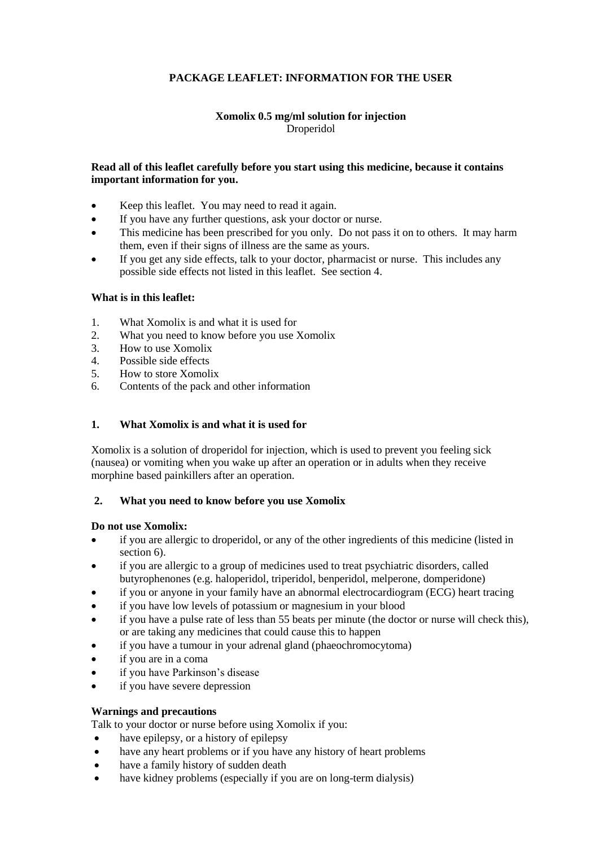# **PACKAGE LEAFLET: INFORMATION FOR THE USER**

### **Xomolix 0.5 mg/ml solution for injection** Droperidol

#### **Read all of this leaflet carefully before you start using this medicine, because it contains important information for you.**

- Keep this leaflet. You may need to read it again.
- If you have any further questions, ask your doctor or nurse.
- This medicine has been prescribed for you only. Do not pass it on to others. It may harm them, even if their signs of illness are the same as yours.
- If you get any side effects, talk to your doctor, pharmacist or nurse. This includes any possible side effects not listed in this leaflet. See section 4.

#### **What is in this leaflet:**

- 1. What Xomolix is and what it is used for<br>2. What you need to know before you use >
- 2. What you need to know before you use Xomolix<br>3. How to use Xomolix
- 3. How to use Xomolix<br>4. Possible side effects
- Possible side effects
- 5. How to store Xomolix
- 6. Contents of the pack and other information

# **1. What Xomolix is and what it is used for**

Xomolix is a solution of droperidol for injection, which is used to prevent you feeling sick (nausea) or vomiting when you wake up after an operation or in adults when they receive morphine based painkillers after an operation.

#### **2. What you need to know before you use Xomolix**

#### **Do not use Xomolix:**

- if you are allergic to droperidol, or any of the other ingredients of this medicine (listed in section 6).
- if you are allergic to a group of medicines used to treat psychiatric disorders, called butyrophenones (e.g. haloperidol, triperidol, benperidol, melperone, domperidone)
- if you or anyone in your family have an abnormal electrocardiogram (ECG) heart tracing
- if you have low levels of potassium or magnesium in your blood
- if you have a pulse rate of less than 55 beats per minute (the doctor or nurse will check this), or are taking any medicines that could cause this to happen
- if you have a tumour in your adrenal gland (phaeochromocytoma)
- if you are in a coma
- if you have Parkinson's disease
- if you have severe depression

#### **Warnings and precautions**

Talk to your doctor or nurse before using Xomolix if you:

- have epilepsy, or a history of epilepsy
- have any heart problems or if you have any history of heart problems
- have a family history of sudden death
- have kidney problems (especially if you are on long-term dialysis)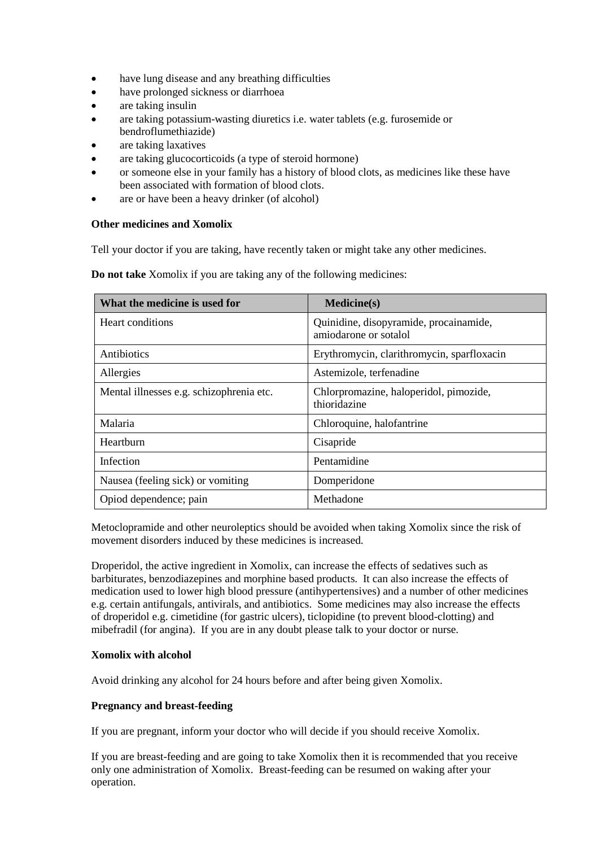- have lung disease and any breathing difficulties
- have prolonged sickness or diarrhoea
- are taking insulin
- are taking potassium-wasting diuretics i.e. water tablets (e.g. furosemide or bendroflumethiazide)
- are taking laxatives
- are taking glucocorticoids (a type of steroid hormone)
- or someone else in your family has a history of blood clots, as medicines like these have been associated with formation of blood clots.
- are or have been a heavy drinker (of alcohol)

#### **Other medicines and Xomolix**

Tell your doctor if you are taking, have recently taken or might take any other medicines.

**Do not take** Xomolix if you are taking any of the following medicines:

| What the medicine is used for            | <b>Medicine(s)</b>                                              |
|------------------------------------------|-----------------------------------------------------------------|
| Heart conditions                         | Quinidine, disopyramide, procainamide,<br>amiodarone or sotalol |
| Antibiotics                              | Erythromycin, clarithromycin, sparfloxacin                      |
| Allergies                                | Astemizole, terfenadine                                         |
| Mental illnesses e.g. schizophrenia etc. | Chlorpromazine, haloperidol, pimozide,<br>thioridazine          |
| Malaria                                  | Chloroquine, halofantrine                                       |
| Hearthurn                                | Cisapride                                                       |
| Infection                                | Pentamidine                                                     |
| Nausea (feeling sick) or vomiting        | Domperidone                                                     |
| Opiod dependence; pain                   | Methadone                                                       |

Metoclopramide and other neuroleptics should be avoided when taking Xomolix since the risk of movement disorders induced by these medicines is increased.

Droperidol, the active ingredient in Xomolix, can increase the effects of sedatives such as barbiturates, benzodiazepines and morphine based products. It can also increase the effects of medication used to lower high blood pressure (antihypertensives) and a number of other medicines e.g. certain antifungals, antivirals, and antibiotics. Some medicines may also increase the effects of droperidol e.g. cimetidine (for gastric ulcers), ticlopidine (to prevent blood-clotting) and mibefradil (for angina). If you are in any doubt please talk to your doctor or nurse.

#### **Xomolix with alcohol**

Avoid drinking any alcohol for 24 hours before and after being given Xomolix.

#### **Pregnancy and breast-feeding**

If you are pregnant, inform your doctor who will decide if you should receive Xomolix.

If you are breast-feeding and are going to take Xomolix then it is recommended that you receive only one administration of Xomolix. Breast-feeding can be resumed on waking after your operation.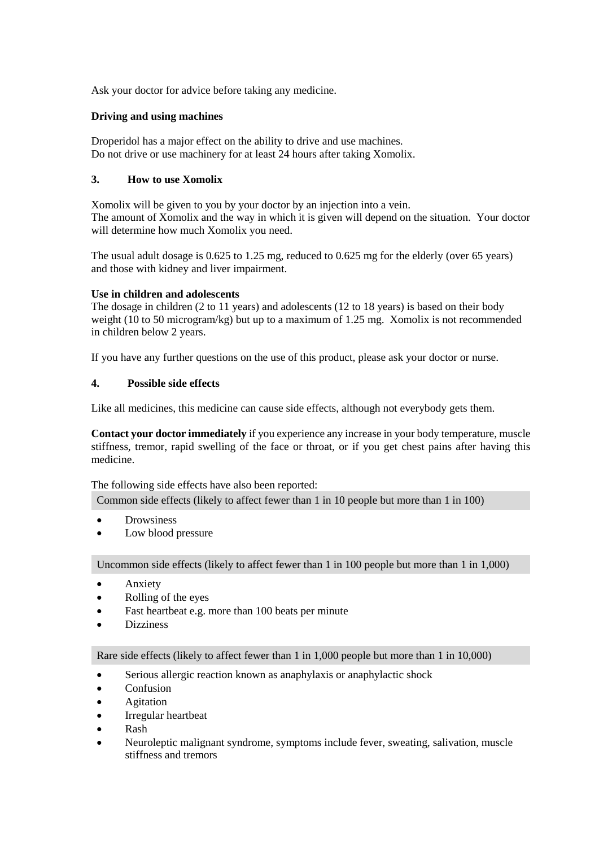Ask your doctor for advice before taking any medicine.

### **Driving and using machines**

Droperidol has a major effect on the ability to drive and use machines. Do not drive or use machinery for at least 24 hours after taking Xomolix.

### **3. How to use Xomolix**

Xomolix will be given to you by your doctor by an injection into a vein. The amount of Xomolix and the way in which it is given will depend on the situation. Your doctor will determine how much Xomolix you need.

The usual adult dosage is 0.625 to 1.25 mg, reduced to 0.625 mg for the elderly (over 65 years) and those with kidney and liver impairment.

### **Use in children and adolescents**

The dosage in children (2 to 11 years) and adolescents (12 to 18 years) is based on their body weight (10 to 50 microgram/kg) but up to a maximum of 1.25 mg. Xomolix is not recommended in children below 2 years.

If you have any further questions on the use of this product, please ask your doctor or nurse.

### **4. Possible side effects**

Like all medicines, this medicine can cause side effects, although not everybody gets them.

**Contact your doctor immediately** if you experience any increase in your body temperature, muscle stiffness, tremor, rapid swelling of the face or throat, or if you get chest pains after having this medicine.

The following side effects have also been reported:

Common side effects (likely to affect fewer than 1 in 10 people but more than 1 in 100)

- Drowsiness
- Low blood pressure

Uncommon side effects (likely to affect fewer than 1 in 100 people but more than 1 in 1,000)

- Anxiety
- Rolling of the eyes
- Fast heartbeat e.g. more than 100 beats per minute
- Dizziness

Rare side effects (likely to affect fewer than 1 in 1,000 people but more than 1 in 10,000)

- Serious allergic reaction known as anaphylaxis or anaphylactic shock
- Confusion
- Agitation
- Irregular heartbeat
- Rash
- Neuroleptic malignant syndrome, symptoms include fever, sweating, salivation, muscle stiffness and tremors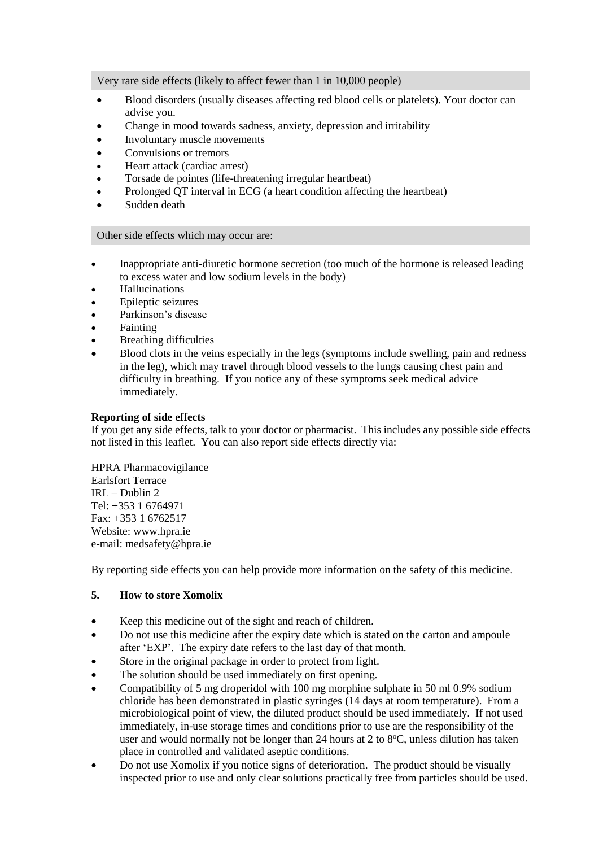Very rare side effects (likely to affect fewer than 1 in 10,000 people)

- Blood disorders (usually diseases affecting red blood cells or platelets). Your doctor can advise you.
- Change in mood towards sadness, anxiety, depression and irritability
- Involuntary muscle movements
- Convulsions or tremors
- Heart attack (cardiac arrest)
- Torsade de pointes (life-threatening irregular heartbeat)
- Prolonged QT interval in ECG (a heart condition affecting the heartbeat)
- Sudden death

#### Other side effects which may occur are:

- Inappropriate anti-diuretic hormone secretion (too much of the hormone is released leading to excess water and low sodium levels in the body)
- Hallucinations
- Epileptic seizures
- Parkinson's disease
- Fainting
- Breathing difficulties
- Blood clots in the veins especially in the legs (symptoms include swelling, pain and redness in the leg), which may travel through blood vessels to the lungs causing chest pain and difficulty in breathing. If you notice any of these symptoms seek medical advice immediately.

# **Reporting of side effects**

If you get any side effects, talk to your doctor or pharmacist. This includes any possible side effects not listed in this leaflet. You can also report side effects directly via:

HPRA Pharmacovigilance Earlsfort Terrace IRL – Dublin 2 Tel: +353 1 6764971 Fax: +353 1 6762517 Website: www.hpra.ie e-mail: medsafety@hpra.ie

By reporting side effects you can help provide more information on the safety of this medicine.

#### **5. How to store Xomolix**

- Keep this medicine out of the sight and reach of children.
- Do not use this medicine after the expiry date which is stated on the carton and ampoule after 'EXP'. The expiry date refers to the last day of that month.
- Store in the original package in order to protect from light.
- The solution should be used immediately on first opening.
- Compatibility of 5 mg droperidol with 100 mg morphine sulphate in 50 ml 0.9% sodium chloride has been demonstrated in plastic syringes (14 days at room temperature). From a microbiological point of view, the diluted product should be used immediately. If not used immediately, in-use storage times and conditions prior to use are the responsibility of the user and would normally not be longer than 24 hours at 2 to  $8^{\circ}$ C, unless dilution has taken place in controlled and validated aseptic conditions.
- Do not use Xomolix if you notice signs of deterioration. The product should be visually inspected prior to use and only clear solutions practically free from particles should be used.